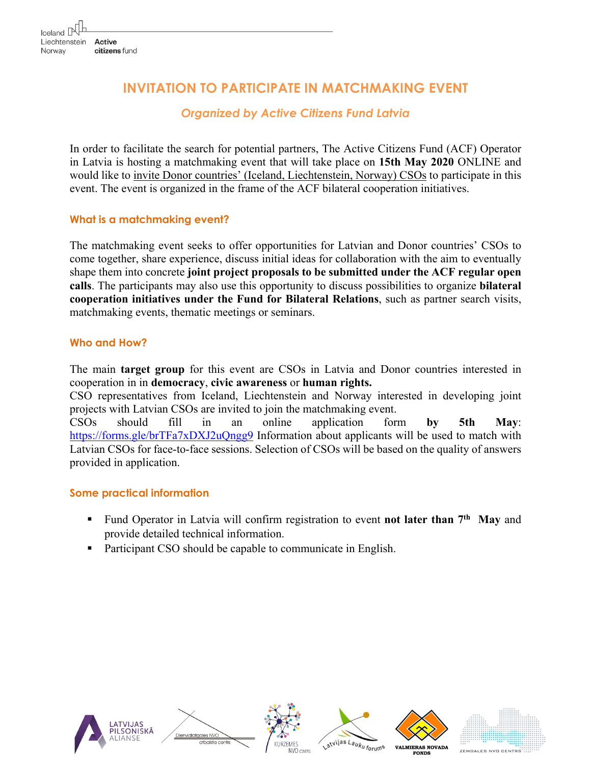# **INVITATION TO PARTICIPATE IN MATCHMAKING EVENT**

# *Organized by Active Citizens Fund Latvia*

In order to facilitate the search for potential partners, The Active Citizens Fund (ACF) Operator in Latvia is hosting a matchmaking event that will take place on **15th May 2020** ONLINE and would like to invite Donor countries' (Iceland, Liechtenstein, Norway) CSOs to participate in this event. The event is organized in the frame of the ACF bilateral cooperation initiatives.

#### **What is a matchmaking event?**

The matchmaking event seeks to offer opportunities for Latvian and Donor countries' CSOs to come together, share experience, discuss initial ideas for collaboration with the aim to eventually shape them into concrete **joint project proposals to be submitted under the ACF regular open calls**. The participants may also use this opportunity to discuss possibilities to organize **bilateral cooperation initiatives under the Fund for Bilateral Relations**, such as partner search visits, matchmaking events, thematic meetings or seminars.

#### **Who and How?**

The main **target group** for this event are CSOs in Latvia and Donor countries interested in cooperation in in **democracy**, **civic awareness** or **human rights.** 

CSO representatives from Iceland, Liechtenstein and Norway interested in developing joint projects with Latvian CSOs are invited to join the matchmaking event. CSOs should fill in an online application form **by 5th May**: https://forms.gle/brTFa7xDXJ2uQngg9 Information about applicants will be used to match with Latvian CSOs for face-to-face sessions. Selection of CSOs will be based on the quality of answers provided in application.

### **Some practical information**

- Fund Operator in Latvia will confirm registration to event **not later than 7<sup>th</sup> May** and provide detailed technical information.
- Participant CSO should be capable to communicate in English.